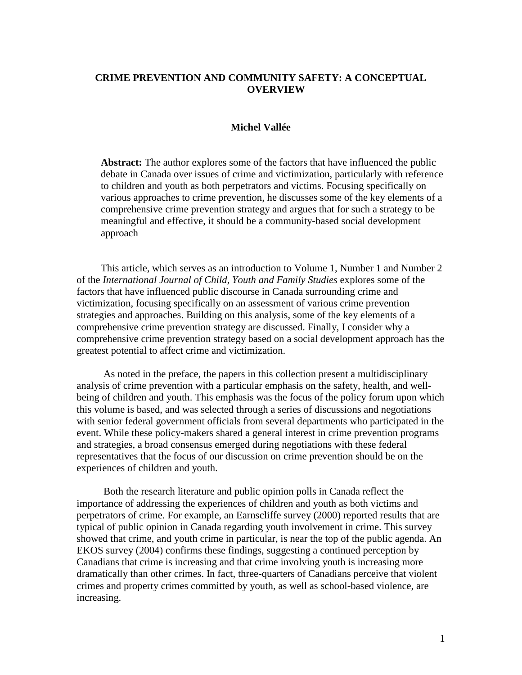# **CRIME PREVENTION AND COMMUNITY SAFETY: A CONCEPTUAL OVERVIEW**

# **Michel Vallée**

**Abstract:** The author explores some of the factors that have influenced the public debate in Canada over issues of crime and victimization, particularly with reference to children and youth as both perpetrators and victims. Focusing specifically on various approaches to crime prevention, he discusses some of the key elements of a comprehensive crime prevention strategy and argues that for such a strategy to be meaningful and effective, it should be a community-based social development approach

This article, which serves as an introduction to Volume 1, Number 1 and Number 2 of the *International Journal of Child, Youth and Family Studies* explores some of the factors that have influenced public discourse in Canada surrounding crime and victimization, focusing specifically on an assessment of various crime prevention strategies and approaches. Building on this analysis, some of the key elements of a comprehensive crime prevention strategy are discussed. Finally, I consider why a comprehensive crime prevention strategy based on a social development approach has the greatest potential to affect crime and victimization.

As noted in the preface, the papers in this collection present a multidisciplinary analysis of crime prevention with a particular emphasis on the safety, health, and wellbeing of children and youth. This emphasis was the focus of the policy forum upon which this volume is based, and was selected through a series of discussions and negotiations with senior federal government officials from several departments who participated in the event. While these policy-makers shared a general interest in crime prevention programs and strategies, a broad consensus emerged during negotiations with these federal representatives that the focus of our discussion on crime prevention should be on the experiences of children and youth.

Both the research literature and public opinion polls in Canada reflect the importance of addressing the experiences of children and youth as both victims and perpetrators of crime. For example, an Earnscliffe survey (2000) reported results that are typical of public opinion in Canada regarding youth involvement in crime. This survey showed that crime, and youth crime in particular, is near the top of the public agenda. An EKOS survey (2004) confirms these findings, suggesting a continued perception by Canadians that crime is increasing and that crime involving youth is increasing more dramatically than other crimes. In fact, three-quarters of Canadians perceive that violent crimes and property crimes committed by youth, as well as school-based violence, are increasing.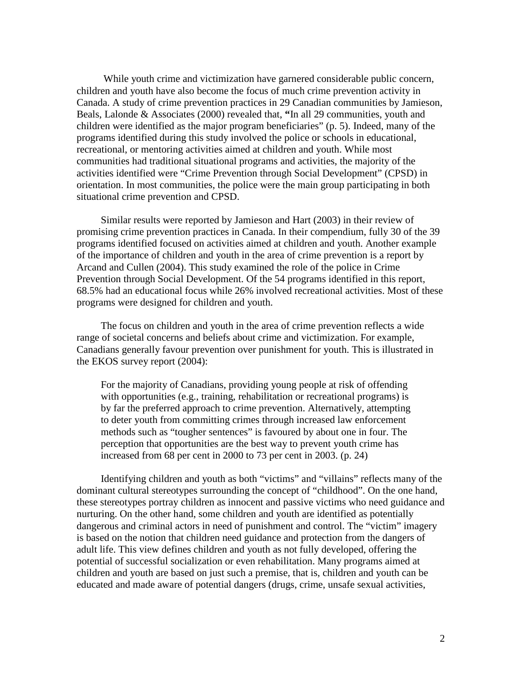While youth crime and victimization have garnered considerable public concern, children and youth have also become the focus of much crime prevention activity in Canada. A study of crime prevention practices in 29 Canadian communities by Jamieson, Beals, Lalonde & Associates (2000) revealed that, **"**In all 29 communities, youth and children were identified as the major program beneficiaries" (p. 5). Indeed, many of the programs identified during this study involved the police or schools in educational, recreational, or mentoring activities aimed at children and youth. While most communities had traditional situational programs and activities, the majority of the activities identified were "Crime Prevention through Social Development" (CPSD) in orientation. In most communities, the police were the main group participating in both situational crime prevention and CPSD.

Similar results were reported by Jamieson and Hart (2003) in their review of promising crime prevention practices in Canada. In their compendium, fully 30 of the 39 programs identified focused on activities aimed at children and youth. Another example of the importance of children and youth in the area of crime prevention is a report by Arcand and Cullen (2004). This study examined the role of the police in Crime Prevention through Social Development. Of the 54 programs identified in this report, 68.5% had an educational focus while 26% involved recreational activities. Most of these programs were designed for children and youth.

The focus on children and youth in the area of crime prevention reflects a wide range of societal concerns and beliefs about crime and victimization. For example, Canadians generally favour prevention over punishment for youth. This is illustrated in the EKOS survey report (2004):

For the majority of Canadians, providing young people at risk of offending with opportunities (e.g., training, rehabilitation or recreational programs) is by far the preferred approach to crime prevention. Alternatively, attempting to deter youth from committing crimes through increased law enforcement methods such as "tougher sentences" is favoured by about one in four. The perception that opportunities are the best way to prevent youth crime has increased from 68 per cent in 2000 to 73 per cent in 2003. (p. 24)

Identifying children and youth as both "victims" and "villains" reflects many of the dominant cultural stereotypes surrounding the concept of "childhood". On the one hand, these stereotypes portray children as innocent and passive victims who need guidance and nurturing. On the other hand, some children and youth are identified as potentially dangerous and criminal actors in need of punishment and control. The "victim" imagery is based on the notion that children need guidance and protection from the dangers of adult life. This view defines children and youth as not fully developed, offering the potential of successful socialization or even rehabilitation. Many programs aimed at children and youth are based on just such a premise, that is, children and youth can be educated and made aware of potential dangers (drugs, crime, unsafe sexual activities,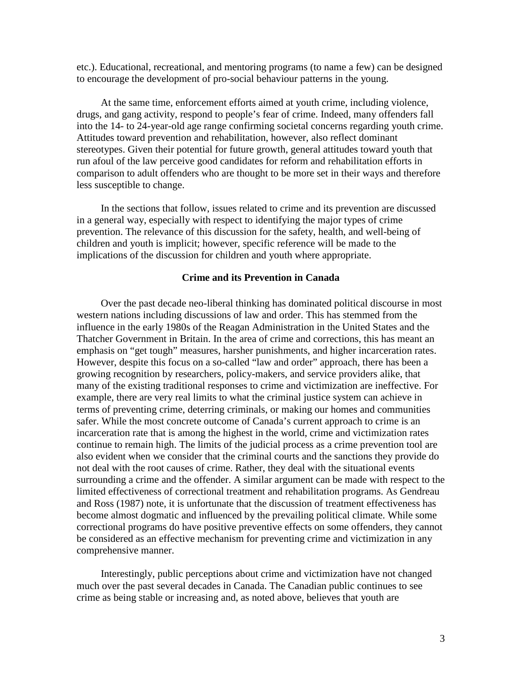etc.). Educational, recreational, and mentoring programs (to name a few) can be designed to encourage the development of pro-social behaviour patterns in the young.

At the same time, enforcement efforts aimed at youth crime, including violence, drugs, and gang activity, respond to people's fear of crime. Indeed, many offenders fall into the 14- to 24-year-old age range confirming societal concerns regarding youth crime. Attitudes toward prevention and rehabilitation, however, also reflect dominant stereotypes. Given their potential for future growth, general attitudes toward youth that run afoul of the law perceive good candidates for reform and rehabilitation efforts in comparison to adult offenders who are thought to be more set in their ways and therefore less susceptible to change.

In the sections that follow, issues related to crime and its prevention are discussed in a general way, especially with respect to identifying the major types of crime prevention. The relevance of this discussion for the safety, health, and well-being of children and youth is implicit; however, specific reference will be made to the implications of the discussion for children and youth where appropriate.

# **Crime and its Prevention in Canada**

Over the past decade neo-liberal thinking has dominated political discourse in most western nations including discussions of law and order. This has stemmed from the influence in the early 1980s of the Reagan Administration in the United States and the Thatcher Government in Britain. In the area of crime and corrections, this has meant an emphasis on "get tough" measures, harsher punishments, and higher incarceration rates. However, despite this focus on a so-called "law and order" approach, there has been a growing recognition by researchers, policy-makers, and service providers alike, that many of the existing traditional responses to crime and victimization are ineffective. For example, there are very real limits to what the criminal justice system can achieve in terms of preventing crime, deterring criminals, or making our homes and communities safer. While the most concrete outcome of Canada's current approach to crime is an incarceration rate that is among the highest in the world, crime and victimization rates continue to remain high. The limits of the judicial process as a crime prevention tool are also evident when we consider that the criminal courts and the sanctions they provide do not deal with the root causes of crime. Rather, they deal with the situational events surrounding a crime and the offender. A similar argument can be made with respect to the limited effectiveness of correctional treatment and rehabilitation programs. As Gendreau and Ross (1987) note, it is unfortunate that the discussion of treatment effectiveness has become almost dogmatic and influenced by the prevailing political climate. While some correctional programs do have positive preventive effects on some offenders, they cannot be considered as an effective mechanism for preventing crime and victimization in any comprehensive manner.

Interestingly, public perceptions about crime and victimization have not changed much over the past several decades in Canada. The Canadian public continues to see crime as being stable or increasing and, as noted above, believes that youth are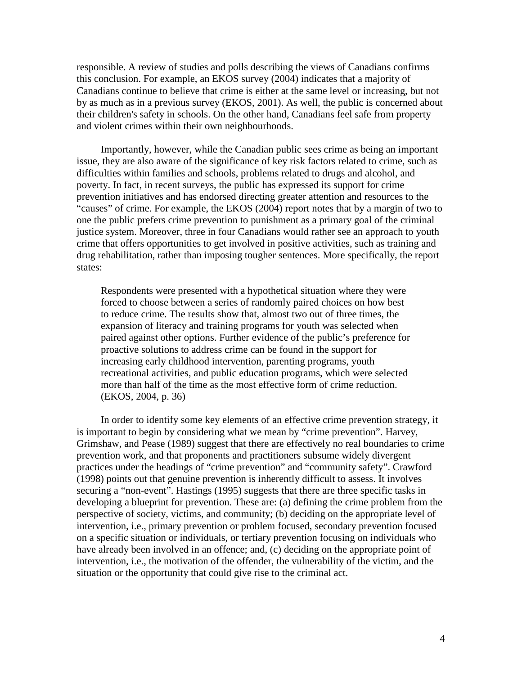responsible. A review of studies and polls describing the views of Canadians confirms this conclusion. For example, an EKOS survey (2004) indicates that a majority of Canadians continue to believe that crime is either at the same level or increasing, but not by as much as in a previous survey (EKOS, 2001). As well, the public is concerned about their children's safety in schools. On the other hand, Canadians feel safe from property and violent crimes within their own neighbourhoods.

Importantly, however, while the Canadian public sees crime as being an important issue, they are also aware of the significance of key risk factors related to crime, such as difficulties within families and schools, problems related to drugs and alcohol, and poverty. In fact, in recent surveys, the public has expressed its support for crime prevention initiatives and has endorsed directing greater attention and resources to the "causes" of crime. For example, the EKOS (2004) report notes that by a margin of two to one the public prefers crime prevention to punishment as a primary goal of the criminal justice system. Moreover, three in four Canadians would rather see an approach to youth crime that offers opportunities to get involved in positive activities, such as training and drug rehabilitation, rather than imposing tougher sentences. More specifically, the report states:

Respondents were presented with a hypothetical situation where they were forced to choose between a series of randomly paired choices on how best to reduce crime. The results show that, almost two out of three times, the expansion of literacy and training programs for youth was selected when paired against other options. Further evidence of the public's preference for proactive solutions to address crime can be found in the support for increasing early childhood intervention, parenting programs, youth recreational activities, and public education programs, which were selected more than half of the time as the most effective form of crime reduction. (EKOS, 2004, p. 36)

In order to identify some key elements of an effective crime prevention strategy, it is important to begin by considering what we mean by "crime prevention". Harvey, Grimshaw, and Pease (1989) suggest that there are effectively no real boundaries to crime prevention work, and that proponents and practitioners subsume widely divergent practices under the headings of "crime prevention" and "community safety". Crawford (1998) points out that genuine prevention is inherently difficult to assess. It involves securing a "non-event". Hastings (1995) suggests that there are three specific tasks in developing a blueprint for prevention. These are: (a) defining the crime problem from the perspective of society, victims, and community; (b) deciding on the appropriate level of intervention, i.e., primary prevention or problem focused, secondary prevention focused on a specific situation or individuals, or tertiary prevention focusing on individuals who have already been involved in an offence; and, (c) deciding on the appropriate point of intervention, i.e., the motivation of the offender, the vulnerability of the victim, and the situation or the opportunity that could give rise to the criminal act.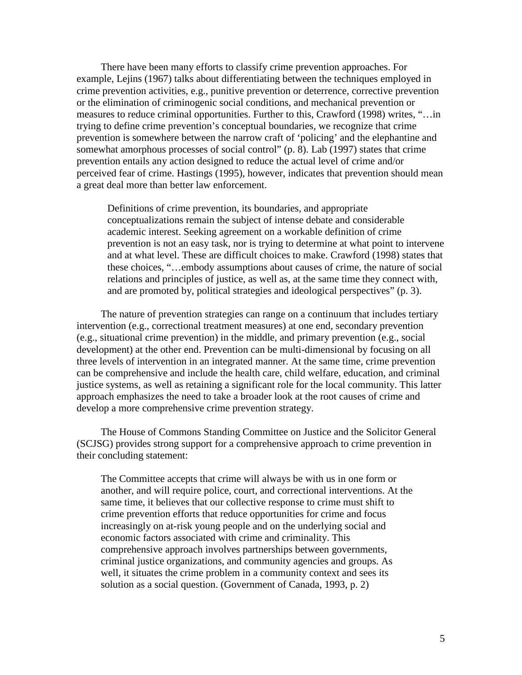There have been many efforts to classify crime prevention approaches. For example, Lejins (1967) talks about differentiating between the techniques employed in crime prevention activities, e.g., punitive prevention or deterrence, corrective prevention or the elimination of criminogenic social conditions, and mechanical prevention or measures to reduce criminal opportunities. Further to this, Crawford (1998) writes, "…in trying to define crime prevention's conceptual boundaries, we recognize that crime prevention is somewhere between the narrow craft of 'policing' and the elephantine and somewhat amorphous processes of social control" (p. 8). Lab (1997) states that crime prevention entails any action designed to reduce the actual level of crime and/or perceived fear of crime. Hastings (1995), however, indicates that prevention should mean a great deal more than better law enforcement.

Definitions of crime prevention, its boundaries, and appropriate conceptualizations remain the subject of intense debate and considerable academic interest. Seeking agreement on a workable definition of crime prevention is not an easy task, nor is trying to determine at what point to intervene and at what level. These are difficult choices to make. Crawford (1998) states that these choices, "…embody assumptions about causes of crime, the nature of social relations and principles of justice, as well as, at the same time they connect with, and are promoted by, political strategies and ideological perspectives" (p. 3).

The nature of prevention strategies can range on a continuum that includes tertiary intervention (e.g., correctional treatment measures) at one end, secondary prevention (e.g., situational crime prevention) in the middle, and primary prevention (e.g., social development) at the other end. Prevention can be multi-dimensional by focusing on all three levels of intervention in an integrated manner. At the same time, crime prevention can be comprehensive and include the health care, child welfare, education, and criminal justice systems, as well as retaining a significant role for the local community. This latter approach emphasizes the need to take a broader look at the root causes of crime and develop a more comprehensive crime prevention strategy.

The House of Commons Standing Committee on Justice and the Solicitor General (SCJSG) provides strong support for a comprehensive approach to crime prevention in their concluding statement:

The Committee accepts that crime will always be with us in one form or another, and will require police, court, and correctional interventions. At the same time, it believes that our collective response to crime must shift to crime prevention efforts that reduce opportunities for crime and focus increasingly on at-risk young people and on the underlying social and economic factors associated with crime and criminality. This comprehensive approach involves partnerships between governments, criminal justice organizations, and community agencies and groups. As well, it situates the crime problem in a community context and sees its solution as a social question. (Government of Canada, 1993, p. 2)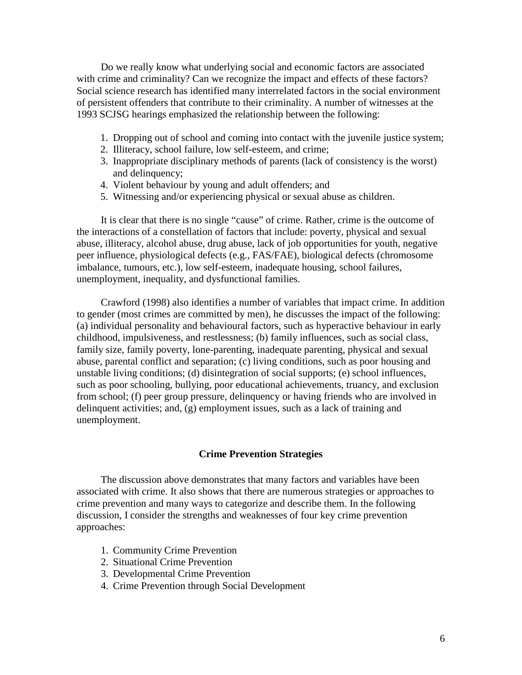Do we really know what underlying social and economic factors are associated with crime and criminality? Can we recognize the impact and effects of these factors? Social science research has identified many interrelated factors in the social environment of persistent offenders that contribute to their criminality. A number of witnesses at the 1993 SCJSG hearings emphasized the relationship between the following:

- 1. Dropping out of school and coming into contact with the juvenile justice system;
- 2. Illiteracy, school failure, low self-esteem, and crime;
- 3. Inappropriate disciplinary methods of parents (lack of consistency is the worst) and delinquency;
- 4. Violent behaviour by young and adult offenders; and
- 5. Witnessing and/or experiencing physical or sexual abuse as children.

It is clear that there is no single "cause" of crime. Rather, crime is the outcome of the interactions of a constellation of factors that include: poverty, physical and sexual abuse, illiteracy, alcohol abuse, drug abuse, lack of job opportunities for youth, negative peer influence, physiological defects (e.g., FAS/FAE), biological defects (chromosome imbalance, tumours, etc.), low self-esteem, inadequate housing, school failures, unemployment, inequality, and dysfunctional families.

Crawford (1998) also identifies a number of variables that impact crime. In addition to gender (most crimes are committed by men), he discusses the impact of the following: (a) individual personality and behavioural factors, such as hyperactive behaviour in early childhood, impulsiveness, and restlessness; (b) family influences, such as social class, family size, family poverty, lone-parenting, inadequate parenting, physical and sexual abuse, parental conflict and separation; (c) living conditions, such as poor housing and unstable living conditions; (d) disintegration of social supports; (e) school influences, such as poor schooling, bullying, poor educational achievements, truancy, and exclusion from school; (f) peer group pressure, delinquency or having friends who are involved in delinquent activities; and, (g) employment issues, such as a lack of training and unemployment.

# **Crime Prevention Strategies**

The discussion above demonstrates that many factors and variables have been associated with crime. It also shows that there are numerous strategies or approaches to crime prevention and many ways to categorize and describe them. In the following discussion, I consider the strengths and weaknesses of four key crime prevention approaches:

- 1. Community Crime Prevention
- 2. Situational Crime Prevention
- 3. Developmental Crime Prevention
- 4. Crime Prevention through Social Development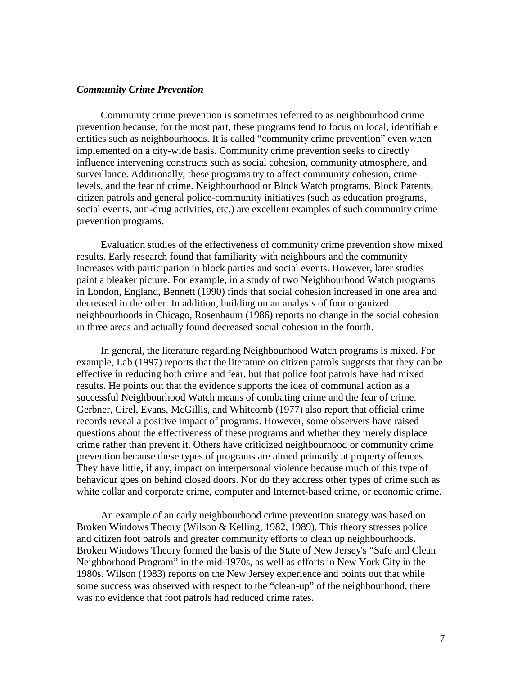### *Community Crime Prevention*

Community crime prevention is sometimes referred to as neighbourhood crime prevention because, for the most part, these programs tend to focus on local, identifiable entities such as neighbourhoods. It is called "community crime prevention" even when implemented on a city-wide basis. Community crime prevention seeks to directly influence intervening constructs such as social cohesion, community atmosphere, and surveillance. Additionally, these programs try to affect community cohesion, crime levels, and the fear of crime. Neighbourhood or Block Watch programs, Block Parents, citizen patrols and general police-community initiatives (such as education programs, social events, anti-drug activities, etc.) are excellent examples of such community crime prevention programs.

Evaluation studies of the effectiveness of community crime prevention show mixed results. Early research found that familiarity with neighbours and the community increases with participation in block parties and social events. However, later studies paint a bleaker picture. For example, in a study of two Neighbourhood Watch programs in London, England, Bennett (1990) finds that social cohesion increased in one area and decreased in the other. In addition, building on an analysis of four organized neighbourhoods in Chicago, Rosenbaum (1986) reports no change in the social cohesion in three areas and actually found decreased social cohesion in the fourth.

In general, the literature regarding Neighbourhood Watch programs is mixed. For example, Lab (1997) reports that the literature on citizen patrols suggests that they can be effective in reducing both crime and fear, but that police foot patrols have had mixed results. He points out that the evidence supports the idea of communal action as a successful Neighbourhood Watch means of combating crime and the fear of crime. Gerbner, Cirel, Evans, McGillis, and Whitcomb (1977) also report that official crime records reveal a positive impact of programs. However, some observers have raised questions about the effectiveness of these programs and whether they merely displace crime rather than prevent it. Others have criticized neighbourhood or community crime prevention because these types of programs are aimed primarily at property offences. They have little, if any, impact on interpersonal violence because much of this type of behaviour goes on behind closed doors. Nor do they address other types of crime such as white collar and corporate crime, computer and Internet-based crime, or economic crime.

An example of an early neighbourhood crime prevention strategy was based on Broken Windows Theory (Wilson & Kelling, 1982, 1989). This theory stresses police and citizen foot patrols and greater community efforts to clean up neighbourhoods. Broken Windows Theory formed the basis of the State of New Jersey's "Safe and Clean Neighborhood Program" in the mid-1970s, as well as efforts in New York City in the 1980s. Wilson (1983) reports on the New Jersey experience and points out that while some success was observed with respect to the "clean-up" of the neighbourhood, there was no evidence that foot patrols had reduced crime rates.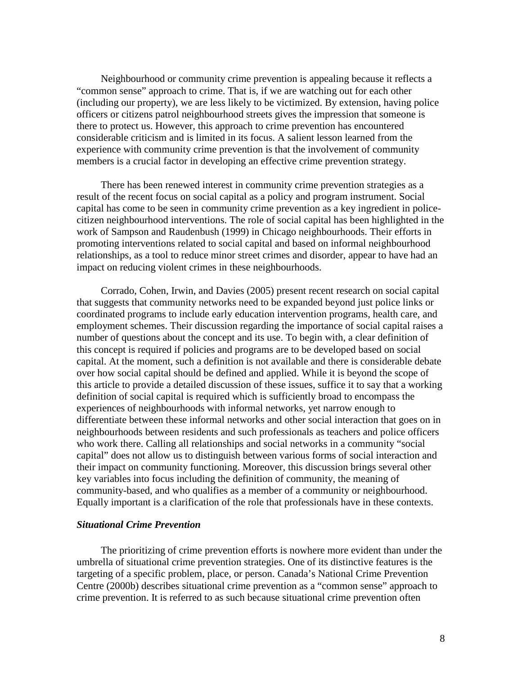Neighbourhood or community crime prevention is appealing because it reflects a "common sense" approach to crime. That is, if we are watching out for each other (including our property), we are less likely to be victimized. By extension, having police officers or citizens patrol neighbourhood streets gives the impression that someone is there to protect us. However, this approach to crime prevention has encountered considerable criticism and is limited in its focus. A salient lesson learned from the experience with community crime prevention is that the involvement of community members is a crucial factor in developing an effective crime prevention strategy.

There has been renewed interest in community crime prevention strategies as a result of the recent focus on social capital as a policy and program instrument. Social capital has come to be seen in community crime prevention as a key ingredient in policecitizen neighbourhood interventions. The role of social capital has been highlighted in the work of Sampson and Raudenbush (1999) in Chicago neighbourhoods. Their efforts in promoting interventions related to social capital and based on informal neighbourhood relationships, as a tool to reduce minor street crimes and disorder, appear to have had an impact on reducing violent crimes in these neighbourhoods.

Corrado, Cohen, Irwin, and Davies (2005) present recent research on social capital that suggests that community networks need to be expanded beyond just police links or coordinated programs to include early education intervention programs, health care, and employment schemes. Their discussion regarding the importance of social capital raises a number of questions about the concept and its use. To begin with, a clear definition of this concept is required if policies and programs are to be developed based on social capital. At the moment, such a definition is not available and there is considerable debate over how social capital should be defined and applied. While it is beyond the scope of this article to provide a detailed discussion of these issues, suffice it to say that a working definition of social capital is required which is sufficiently broad to encompass the experiences of neighbourhoods with informal networks, yet narrow enough to differentiate between these informal networks and other social interaction that goes on in neighbourhoods between residents and such professionals as teachers and police officers who work there. Calling all relationships and social networks in a community "social capital" does not allow us to distinguish between various forms of social interaction and their impact on community functioning. Moreover, this discussion brings several other key variables into focus including the definition of community, the meaning of community-based, and who qualifies as a member of a community or neighbourhood. Equally important is a clarification of the role that professionals have in these contexts.

## *Situational Crime Prevention*

The prioritizing of crime prevention efforts is nowhere more evident than under the umbrella of situational crime prevention strategies. One of its distinctive features is the targeting of a specific problem, place, or person. Canada's National Crime Prevention Centre (2000b) describes situational crime prevention as a "common sense" approach to crime prevention. It is referred to as such because situational crime prevention often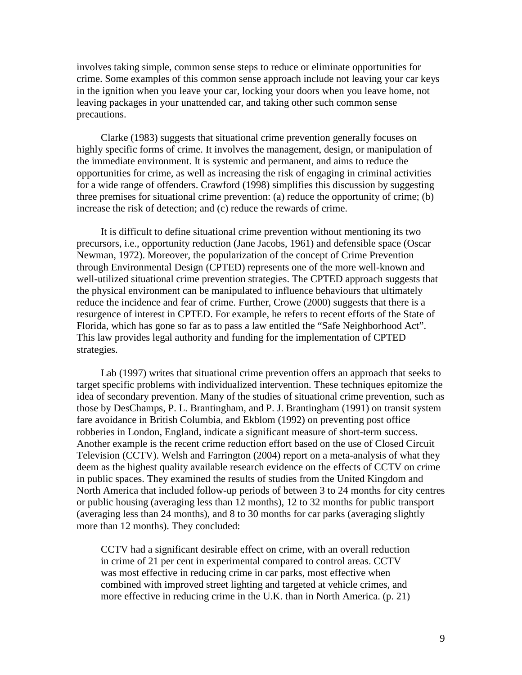involves taking simple, common sense steps to reduce or eliminate opportunities for crime. Some examples of this common sense approach include not leaving your car keys in the ignition when you leave your car, locking your doors when you leave home, not leaving packages in your unattended car, and taking other such common sense precautions.

Clarke (1983) suggests that situational crime prevention generally focuses on highly specific forms of crime. It involves the management, design, or manipulation of the immediate environment. It is systemic and permanent, and aims to reduce the opportunities for crime, as well as increasing the risk of engaging in criminal activities for a wide range of offenders. Crawford (1998) simplifies this discussion by suggesting three premises for situational crime prevention: (a) reduce the opportunity of crime; (b) increase the risk of detection; and (c) reduce the rewards of crime.

It is difficult to define situational crime prevention without mentioning its two precursors, i.e., opportunity reduction (Jane Jacobs, 1961) and defensible space (Oscar Newman, 1972). Moreover, the popularization of the concept of Crime Prevention through Environmental Design (CPTED) represents one of the more well-known and well-utilized situational crime prevention strategies. The CPTED approach suggests that the physical environment can be manipulated to influence behaviours that ultimately reduce the incidence and fear of crime. Further, Crowe (2000) suggests that there is a resurgence of interest in CPTED. For example, he refers to recent efforts of the State of Florida, which has gone so far as to pass a law entitled the "Safe Neighborhood Act". This law provides legal authority and funding for the implementation of CPTED strategies.

Lab (1997) writes that situational crime prevention offers an approach that seeks to target specific problems with individualized intervention. These techniques epitomize the idea of secondary prevention. Many of the studies of situational crime prevention, such as those by DesChamps, P. L. Brantingham, and P. J. Brantingham (1991) on transit system fare avoidance in British Columbia, and Ekblom (1992) on preventing post office robberies in London, England, indicate a significant measure of short-term success. Another example is the recent crime reduction effort based on the use of Closed Circuit Television (CCTV). Welsh and Farrington (2004) report on a meta-analysis of what they deem as the highest quality available research evidence on the effects of CCTV on crime in public spaces. They examined the results of studies from the United Kingdom and North America that included follow-up periods of between 3 to 24 months for city centres or public housing (averaging less than 12 months), 12 to 32 months for public transport (averaging less than 24 months), and 8 to 30 months for car parks (averaging slightly more than 12 months). They concluded:

CCTV had a significant desirable effect on crime, with an overall reduction in crime of 21 per cent in experimental compared to control areas. CCTV was most effective in reducing crime in car parks, most effective when combined with improved street lighting and targeted at vehicle crimes, and more effective in reducing crime in the U.K. than in North America. (p. 21)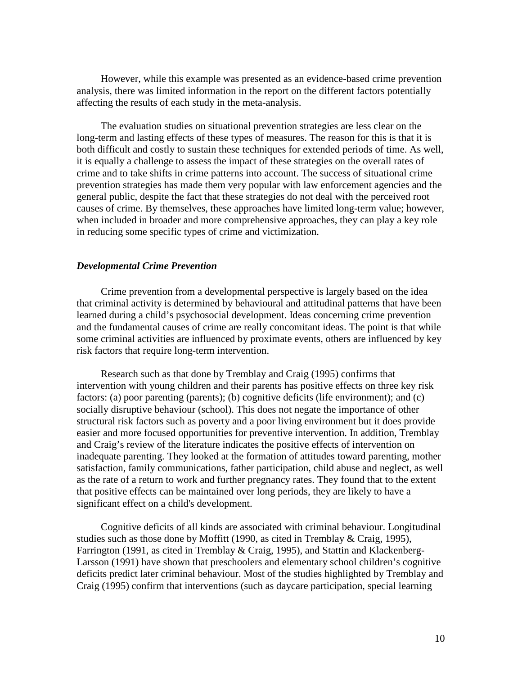However, while this example was presented as an evidence-based crime prevention analysis, there was limited information in the report on the different factors potentially affecting the results of each study in the meta-analysis.

The evaluation studies on situational prevention strategies are less clear on the long-term and lasting effects of these types of measures. The reason for this is that it is both difficult and costly to sustain these techniques for extended periods of time. As well, it is equally a challenge to assess the impact of these strategies on the overall rates of crime and to take shifts in crime patterns into account. The success of situational crime prevention strategies has made them very popular with law enforcement agencies and the general public, despite the fact that these strategies do not deal with the perceived root causes of crime. By themselves, these approaches have limited long-term value; however, when included in broader and more comprehensive approaches, they can play a key role in reducing some specific types of crime and victimization.

### *Developmental Crime Prevention*

Crime prevention from a developmental perspective is largely based on the idea that criminal activity is determined by behavioural and attitudinal patterns that have been learned during a child's psychosocial development. Ideas concerning crime prevention and the fundamental causes of crime are really concomitant ideas. The point is that while some criminal activities are influenced by proximate events, others are influenced by key risk factors that require long-term intervention.

Research such as that done by Tremblay and Craig (1995) confirms that intervention with young children and their parents has positive effects on three key risk factors: (a) poor parenting (parents); (b) cognitive deficits (life environment); and (c) socially disruptive behaviour (school). This does not negate the importance of other structural risk factors such as poverty and a poor living environment but it does provide easier and more focused opportunities for preventive intervention. In addition, Tremblay and Craig's review of the literature indicates the positive effects of intervention on inadequate parenting. They looked at the formation of attitudes toward parenting, mother satisfaction, family communications, father participation, child abuse and neglect, as well as the rate of a return to work and further pregnancy rates. They found that to the extent that positive effects can be maintained over long periods, they are likely to have a significant effect on a child's development.

Cognitive deficits of all kinds are associated with criminal behaviour. Longitudinal studies such as those done by Moffitt (1990, as cited in Tremblay & Craig, 1995), Farrington (1991, as cited in Tremblay & Craig, 1995), and Stattin and Klackenberg-Larsson (1991) have shown that preschoolers and elementary school children's cognitive deficits predict later criminal behaviour. Most of the studies highlighted by Tremblay and Craig (1995) confirm that interventions (such as daycare participation, special learning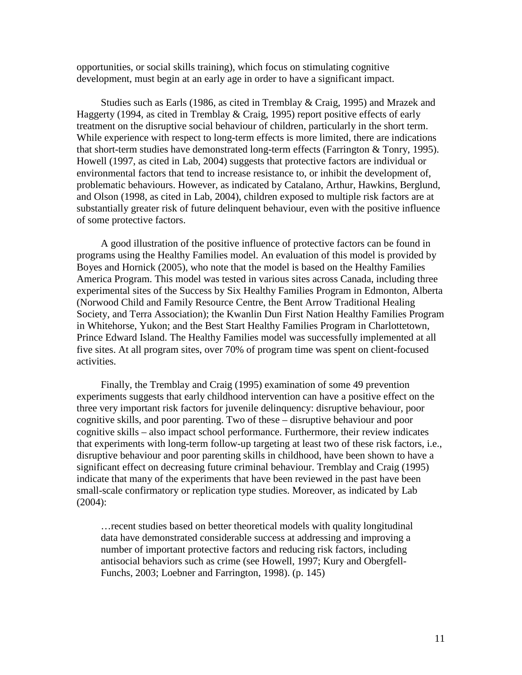opportunities, or social skills training), which focus on stimulating cognitive development, must begin at an early age in order to have a significant impact.

Studies such as Earls (1986, as cited in Tremblay & Craig, 1995) and Mrazek and Haggerty (1994, as cited in Tremblay & Craig, 1995) report positive effects of early treatment on the disruptive social behaviour of children, particularly in the short term. While experience with respect to long-term effects is more limited, there are indications that short-term studies have demonstrated long-term effects (Farrington & Tonry, 1995). Howell (1997, as cited in Lab, 2004) suggests that protective factors are individual or environmental factors that tend to increase resistance to, or inhibit the development of, problematic behaviours. However, as indicated by Catalano, Arthur, Hawkins, Berglund, and Olson (1998, as cited in Lab, 2004), children exposed to multiple risk factors are at substantially greater risk of future delinquent behaviour, even with the positive influence of some protective factors.

A good illustration of the positive influence of protective factors can be found in programs using the Healthy Families model. An evaluation of this model is provided by Boyes and Hornick (2005), who note that the model is based on the Healthy Families America Program. This model was tested in various sites across Canada, including three experimental sites of the Success by Six Healthy Families Program in Edmonton, Alberta (Norwood Child and Family Resource Centre, the Bent Arrow Traditional Healing Society, and Terra Association); the Kwanlin Dun First Nation Healthy Families Program in Whitehorse, Yukon; and the Best Start Healthy Families Program in Charlottetown, Prince Edward Island. The Healthy Families model was successfully implemented at all five sites. At all program sites, over 70% of program time was spent on client-focused activities.

Finally, the Tremblay and Craig (1995) examination of some 49 prevention experiments suggests that early childhood intervention can have a positive effect on the three very important risk factors for juvenile delinquency: disruptive behaviour, poor cognitive skills, and poor parenting. Two of these – disruptive behaviour and poor cognitive skills – also impact school performance. Furthermore, their review indicates that experiments with long-term follow-up targeting at least two of these risk factors, i.e., disruptive behaviour and poor parenting skills in childhood, have been shown to have a significant effect on decreasing future criminal behaviour. Tremblay and Craig (1995) indicate that many of the experiments that have been reviewed in the past have been small-scale confirmatory or replication type studies. Moreover, as indicated by Lab (2004):

…recent studies based on better theoretical models with quality longitudinal data have demonstrated considerable success at addressing and improving a number of important protective factors and reducing risk factors, including antisocial behaviors such as crime (see Howell, 1997; Kury and Obergfell-Funchs, 2003; Loebner and Farrington, 1998). (p. 145)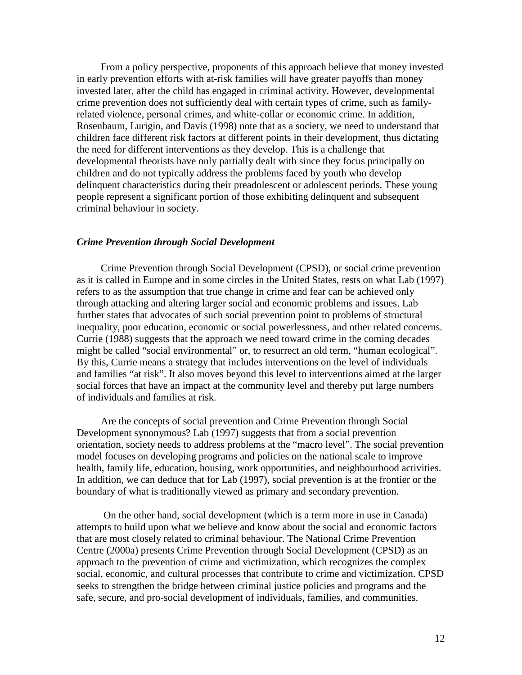From a policy perspective, proponents of this approach believe that money invested in early prevention efforts with at-risk families will have greater payoffs than money invested later, after the child has engaged in criminal activity. However, developmental crime prevention does not sufficiently deal with certain types of crime, such as familyrelated violence, personal crimes, and white-collar or economic crime. In addition, Rosenbaum, Lurigio, and Davis (1998) note that as a society, we need to understand that children face different risk factors at different points in their development, thus dictating the need for different interventions as they develop. This is a challenge that developmental theorists have only partially dealt with since they focus principally on children and do not typically address the problems faced by youth who develop delinquent characteristics during their preadolescent or adolescent periods. These young people represent a significant portion of those exhibiting delinquent and subsequent criminal behaviour in society.

### *Crime Prevention through Social Development*

Crime Prevention through Social Development (CPSD), or social crime prevention as it is called in Europe and in some circles in the United States, rests on what Lab (1997) refers to as the assumption that true change in crime and fear can be achieved only through attacking and altering larger social and economic problems and issues. Lab further states that advocates of such social prevention point to problems of structural inequality, poor education, economic or social powerlessness, and other related concerns. Currie (1988) suggests that the approach we need toward crime in the coming decades might be called "social environmental" or, to resurrect an old term, "human ecological". By this, Currie means a strategy that includes interventions on the level of individuals and families "at risk". It also moves beyond this level to interventions aimed at the larger social forces that have an impact at the community level and thereby put large numbers of individuals and families at risk.

Are the concepts of social prevention and Crime Prevention through Social Development synonymous? Lab (1997) suggests that from a social prevention orientation, society needs to address problems at the "macro level". The social prevention model focuses on developing programs and policies on the national scale to improve health, family life, education, housing, work opportunities, and neighbourhood activities. In addition, we can deduce that for Lab (1997), social prevention is at the frontier or the boundary of what is traditionally viewed as primary and secondary prevention.

On the other hand, social development (which is a term more in use in Canada) attempts to build upon what we believe and know about the social and economic factors that are most closely related to criminal behaviour. The National Crime Prevention Centre (2000a) presents Crime Prevention through Social Development (CPSD) as an approach to the prevention of crime and victimization, which recognizes the complex social, economic, and cultural processes that contribute to crime and victimization. CPSD seeks to strengthen the bridge between criminal justice policies and programs and the safe, secure, and pro-social development of individuals, families, and communities.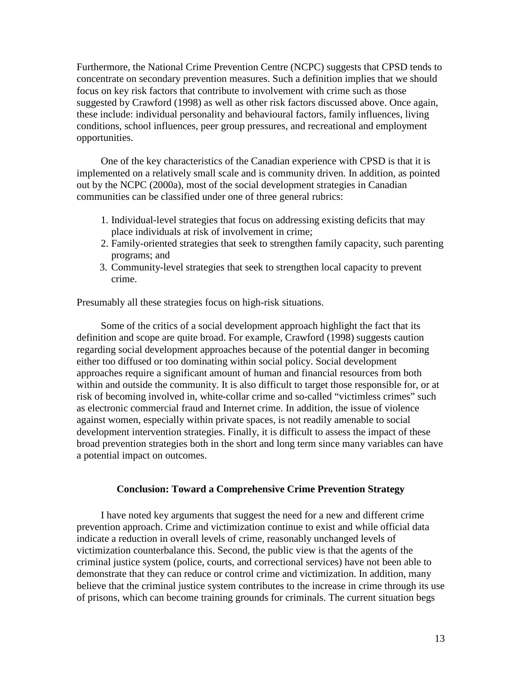Furthermore, the National Crime Prevention Centre (NCPC) suggests that CPSD tends to concentrate on secondary prevention measures. Such a definition implies that we should focus on key risk factors that contribute to involvement with crime such as those suggested by Crawford (1998) as well as other risk factors discussed above. Once again, these include: individual personality and behavioural factors, family influences, living conditions, school influences, peer group pressures, and recreational and employment opportunities.

One of the key characteristics of the Canadian experience with CPSD is that it is implemented on a relatively small scale and is community driven. In addition, as pointed out by the NCPC (2000a), most of the social development strategies in Canadian communities can be classified under one of three general rubrics:

- 1. Individual-level strategies that focus on addressing existing deficits that may place individuals at risk of involvement in crime;
- 2. Family-oriented strategies that seek to strengthen family capacity, such parenting programs; and
- 3. Community-level strategies that seek to strengthen local capacity to prevent crime.

Presumably all these strategies focus on high-risk situations.

Some of the critics of a social development approach highlight the fact that its definition and scope are quite broad. For example, Crawford (1998) suggests caution regarding social development approaches because of the potential danger in becoming either too diffused or too dominating within social policy. Social development approaches require a significant amount of human and financial resources from both within and outside the community. It is also difficult to target those responsible for, or at risk of becoming involved in, white-collar crime and so-called "victimless crimes" such as electronic commercial fraud and Internet crime. In addition, the issue of violence against women, especially within private spaces, is not readily amenable to social development intervention strategies. Finally, it is difficult to assess the impact of these broad prevention strategies both in the short and long term since many variables can have a potential impact on outcomes.

### **Conclusion: Toward a Comprehensive Crime Prevention Strategy**

I have noted key arguments that suggest the need for a new and different crime prevention approach. Crime and victimization continue to exist and while official data indicate a reduction in overall levels of crime, reasonably unchanged levels of victimization counterbalance this. Second, the public view is that the agents of the criminal justice system (police, courts, and correctional services) have not been able to demonstrate that they can reduce or control crime and victimization. In addition, many believe that the criminal justice system contributes to the increase in crime through its use of prisons, which can become training grounds for criminals. The current situation begs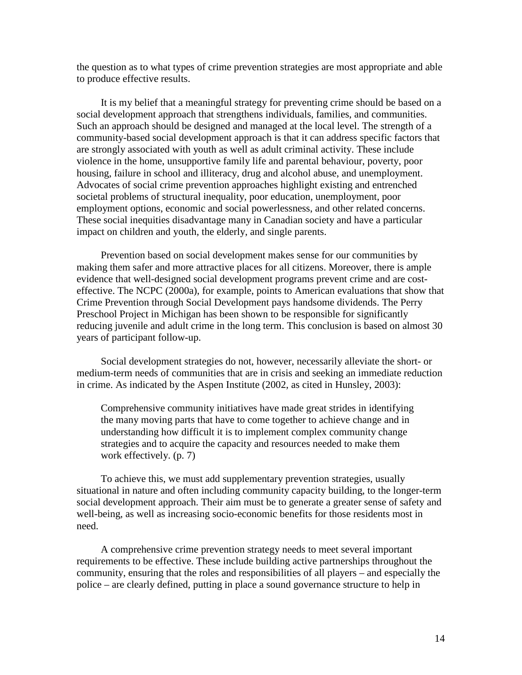the question as to what types of crime prevention strategies are most appropriate and able to produce effective results.

It is my belief that a meaningful strategy for preventing crime should be based on a social development approach that strengthens individuals, families, and communities. Such an approach should be designed and managed at the local level. The strength of a community-based social development approach is that it can address specific factors that are strongly associated with youth as well as adult criminal activity. These include violence in the home, unsupportive family life and parental behaviour, poverty, poor housing, failure in school and illiteracy, drug and alcohol abuse, and unemployment. Advocates of social crime prevention approaches highlight existing and entrenched societal problems of structural inequality, poor education, unemployment, poor employment options, economic and social powerlessness, and other related concerns. These social inequities disadvantage many in Canadian society and have a particular impact on children and youth, the elderly, and single parents.

Prevention based on social development makes sense for our communities by making them safer and more attractive places for all citizens. Moreover, there is ample evidence that well-designed social development programs prevent crime and are costeffective. The NCPC (2000a), for example, points to American evaluations that show that Crime Prevention through Social Development pays handsome dividends. The Perry Preschool Project in Michigan has been shown to be responsible for significantly reducing juvenile and adult crime in the long term. This conclusion is based on almost 30 years of participant follow-up.

Social development strategies do not, however, necessarily alleviate the short- or medium-term needs of communities that are in crisis and seeking an immediate reduction in crime. As indicated by the Aspen Institute (2002, as cited in Hunsley, 2003):

Comprehensive community initiatives have made great strides in identifying the many moving parts that have to come together to achieve change and in understanding how difficult it is to implement complex community change strategies and to acquire the capacity and resources needed to make them work effectively. (p. 7)

To achieve this, we must add supplementary prevention strategies, usually situational in nature and often including community capacity building, to the longer-term social development approach. Their aim must be to generate a greater sense of safety and well-being, as well as increasing socio-economic benefits for those residents most in need.

A comprehensive crime prevention strategy needs to meet several important requirements to be effective. These include building active partnerships throughout the community, ensuring that the roles and responsibilities of all players – and especially the police – are clearly defined, putting in place a sound governance structure to help in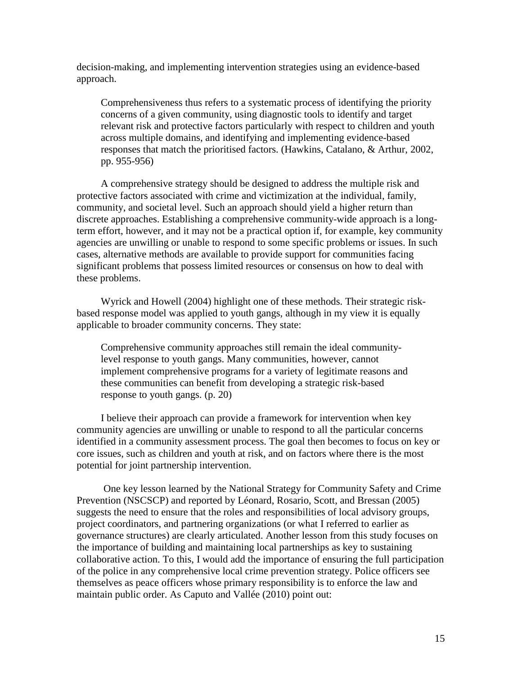decision-making, and implementing intervention strategies using an evidence-based approach.

Comprehensiveness thus refers to a systematic process of identifying the priority concerns of a given community, using diagnostic tools to identify and target relevant risk and protective factors particularly with respect to children and youth across multiple domains, and identifying and implementing evidence-based responses that match the prioritised factors. (Hawkins, Catalano, & Arthur, 2002, pp. 955-956)

A comprehensive strategy should be designed to address the multiple risk and protective factors associated with crime and victimization at the individual, family, community, and societal level. Such an approach should yield a higher return than discrete approaches. Establishing a comprehensive community-wide approach is a longterm effort, however, and it may not be a practical option if, for example, key community agencies are unwilling or unable to respond to some specific problems or issues. In such cases, alternative methods are available to provide support for communities facing significant problems that possess limited resources or consensus on how to deal with these problems.

Wyrick and Howell (2004) highlight one of these methods. Their strategic riskbased response model was applied to youth gangs, although in my view it is equally applicable to broader community concerns. They state:

Comprehensive community approaches still remain the ideal communitylevel response to youth gangs. Many communities, however, cannot implement comprehensive programs for a variety of legitimate reasons and these communities can benefit from developing a strategic risk-based response to youth gangs. (p. 20)

I believe their approach can provide a framework for intervention when key community agencies are unwilling or unable to respond to all the particular concerns identified in a community assessment process. The goal then becomes to focus on key or core issues, such as children and youth at risk, and on factors where there is the most potential for joint partnership intervention.

One key lesson learned by the National Strategy for Community Safety and Crime Prevention (NSCSCP) and reported by Léonard, Rosario, Scott, and Bressan (2005) suggests the need to ensure that the roles and responsibilities of local advisory groups, project coordinators, and partnering organizations (or what I referred to earlier as governance structures) are clearly articulated. Another lesson from this study focuses on the importance of building and maintaining local partnerships as key to sustaining collaborative action. To this, I would add the importance of ensuring the full participation of the police in any comprehensive local crime prevention strategy. Police officers see themselves as peace officers whose primary responsibility is to enforce the law and maintain public order. As Caputo and Vallée (2010) point out: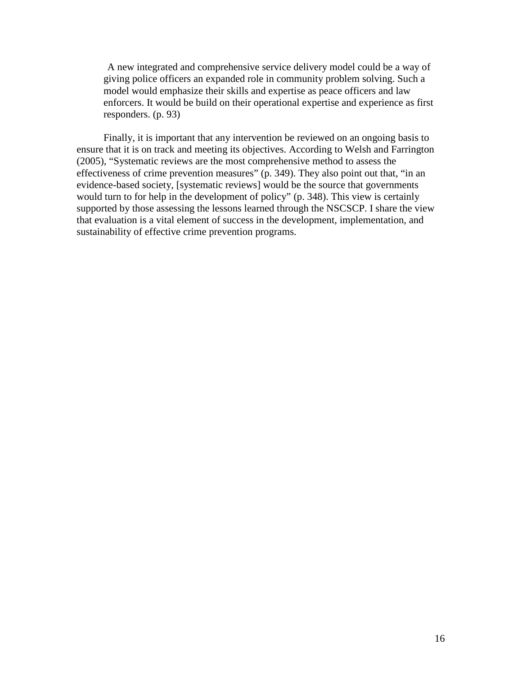A new integrated and comprehensive service delivery model could be a way of giving police officers an expanded role in community problem solving. Such a model would emphasize their skills and expertise as peace officers and law enforcers. It would be build on their operational expertise and experience as first responders. (p. 93)

Finally, it is important that any intervention be reviewed on an ongoing basis to ensure that it is on track and meeting its objectives. According to Welsh and Farrington (2005), "Systematic reviews are the most comprehensive method to assess the effectiveness of crime prevention measures" (p. 349). They also point out that, "in an evidence-based society, [systematic reviews] would be the source that governments would turn to for help in the development of policy" (p. 348). This view is certainly supported by those assessing the lessons learned through the NSCSCP. I share the view that evaluation is a vital element of success in the development, implementation, and sustainability of effective crime prevention programs.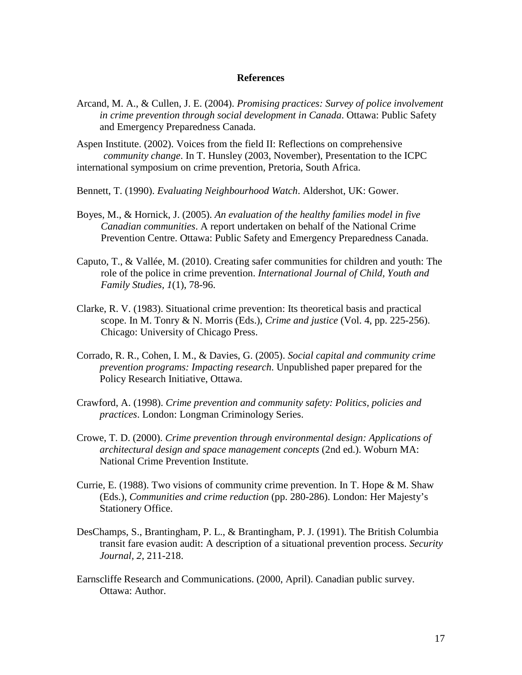#### **References**

- Arcand, M. A., & Cullen, J. E. (2004). *Promising practices: Survey of police involvement in crime prevention through social development in Canada*. Ottawa: Public Safety and Emergency Preparedness Canada.
- Aspen Institute. (2002). Voices from the field II: Reflections on comprehensive *community change*. In T. Hunsley (2003, November), Presentation to the ICPC international symposium on crime prevention, Pretoria, South Africa.
- Bennett, T. (1990). *Evaluating Neighbourhood Watch*. Aldershot, UK: Gower.
- Boyes, M., & Hornick, J. (2005). *An evaluation of the healthy families model in five Canadian communities*. A report undertaken on behalf of the National Crime Prevention Centre. Ottawa: Public Safety and Emergency Preparedness Canada.
- Caputo, T., & Vallée, M. (2010). Creating safer communities for children and youth: The role of the police in crime prevention. *International Journal of Child, Youth and Family Studies, 1*(1), 78-96.
- Clarke, R. V. (1983). Situational crime prevention: Its theoretical basis and practical scope. In M. Tonry & N. Morris (Eds.), *Crime and justice* (Vol. 4, pp. 225-256). Chicago: University of Chicago Press.
- Corrado, R. R., Cohen, I. M., & Davies, G. (2005). *Social capital and community crime prevention programs: Impacting research*. Unpublished paper prepared for the Policy Research Initiative, Ottawa.
- Crawford, A. (1998). *Crime prevention and community safety: Politics, policies and practices*. London: Longman Criminology Series.
- Crowe, T. D. (2000). *Crime prevention through environmental design: Applications of architectural design and space management concepts* (2nd ed.). Woburn MA: National Crime Prevention Institute.
- Currie, E. (1988). Two visions of community crime prevention. In T. Hope  $\&$  M. Shaw (Eds.), *Communities and crime reduction* (pp. 280-286). London: Her Majesty's Stationery Office.
- DesChamps, S., Brantingham, P. L., & Brantingham, P. J. (1991). The British Columbia transit fare evasion audit: A description of a situational prevention process. *Security Journal, 2*, 211-218.
- Earnscliffe Research and Communications. (2000, April). Canadian public survey. Ottawa: Author.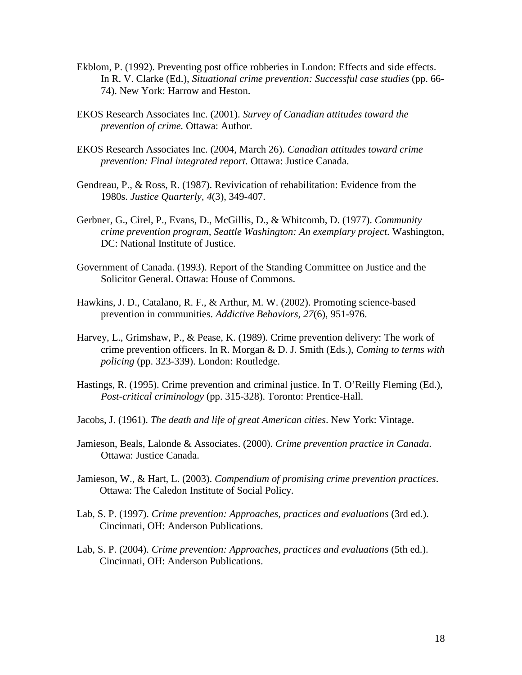- Ekblom, P. (1992). Preventing post office robberies in London: Effects and side effects. In R. V. Clarke (Ed.), *Situational crime prevention: Successful case studies* (pp. 66- 74). New York: Harrow and Heston.
- EKOS Research Associates Inc. (2001). *Survey of Canadian attitudes toward the prevention of crime.* Ottawa: Author.
- EKOS Research Associates Inc. (2004, March 26). *Canadian attitudes toward crime prevention: Final integrated report.* Ottawa: Justice Canada.
- Gendreau, P., & Ross, R. (1987). Revivication of rehabilitation: Evidence from the 1980s. *Justice Quarterly, 4*(3), 349-407.
- Gerbner, G., Cirel, P., Evans, D., McGillis, D., & Whitcomb, D. (1977). *Community crime prevention program, Seattle Washington: An exemplary project*. Washington, DC: National Institute of Justice.
- Government of Canada. (1993). Report of the Standing Committee on Justice and the Solicitor General. Ottawa: House of Commons.
- Hawkins, J. D., Catalano, R. F., & Arthur, M. W. (2002). Promoting science-based prevention in communities. *Addictive Behaviors, 27*(6), 951-976.
- Harvey, L., Grimshaw, P., & Pease, K. (1989). Crime prevention delivery: The work of crime prevention officers. In R. Morgan & D. J. Smith (Eds.), *Coming to terms with policing* (pp. 323-339). London: Routledge.
- Hastings, R. (1995). Crime prevention and criminal justice. In T. O'Reilly Fleming (Ed.), *Post-critical criminology* (pp. 315-328). Toronto: Prentice-Hall.
- Jacobs, J. (1961). *The death and life of great American cities*. New York: Vintage.
- Jamieson, Beals, Lalonde & Associates. (2000). *Crime prevention practice in Canada*. Ottawa: Justice Canada.
- Jamieson, W., & Hart, L. (2003). *Compendium of promising crime prevention practices*. Ottawa: The Caledon Institute of Social Policy.
- Lab, S. P. (1997). *Crime prevention: Approaches, practices and evaluations* (3rd ed.). Cincinnati, OH: Anderson Publications.
- Lab, S. P. (2004). *Crime prevention: Approaches, practices and evaluations* (5th ed.). Cincinnati, OH: Anderson Publications.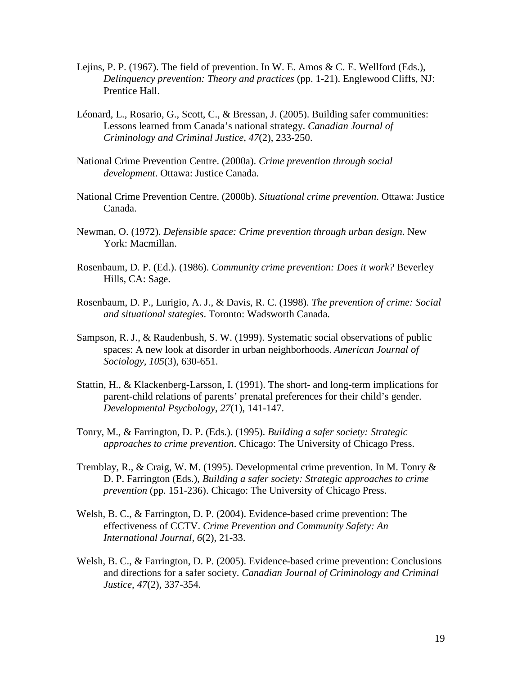- Lejins, P. P. (1967). The field of prevention. In W. E. Amos  $\& C$ . E. Wellford (Eds.), *Delinquency prevention: Theory and practices* (pp. 1-21). Englewood Cliffs, NJ: Prentice Hall.
- Léonard, L., Rosario, G., Scott, C., & Bressan, J. (2005). Building safer communities: Lessons learned from Canada's national strategy. *Canadian Journal of Criminology and Criminal Justice*, *47*(2), 233-250.
- National Crime Prevention Centre. (2000a). *Crime prevention through social development*. Ottawa: Justice Canada.
- National Crime Prevention Centre. (2000b). *Situational crime prevention*. Ottawa: Justice Canada.
- Newman, O. (1972). *Defensible space: Crime prevention through urban design*. New York: Macmillan.
- Rosenbaum, D. P. (Ed.). (1986). *Community crime prevention: Does it work?* Beverley Hills, CA: Sage.
- Rosenbaum, D. P., Lurigio, A. J., & Davis, R. C. (1998). *The prevention of crime: Social and situational stategies*. Toronto: Wadsworth Canada.
- Sampson, R. J., & Raudenbush, S. W. (1999). Systematic social observations of public spaces: A new look at disorder in urban neighborhoods. *American Journal of Sociology, 105*(3), 630-651.
- Stattin, H., & Klackenberg-Larsson, I. (1991). The short- and long-term implications for parent-child relations of parents' prenatal preferences for their child's gender. *Developmental Psychology*, *27*(1), 141-147.
- Tonry, M., & Farrington, D. P. (Eds.). (1995). *Building a safer society: Strategic approaches to crime prevention*. Chicago: The University of Chicago Press.
- Tremblay, R., & Craig, W. M. (1995). Developmental crime prevention. In M. Tonry & D. P. Farrington (Eds.), *Building a safer society: Strategic approaches to crime prevention* (pp. 151-236). Chicago: The University of Chicago Press.
- Welsh, B. C., & Farrington, D. P. (2004). Evidence-based crime prevention: The effectiveness of CCTV. *Crime Prevention and Community Safety: An International Journal, 6*(2), 21-33.
- Welsh, B. C., & Farrington, D. P. (2005). Evidence-based crime prevention: Conclusions and directions for a safer society. *Canadian Journal of Criminology and Criminal Justice*, *47*(2), 337-354.